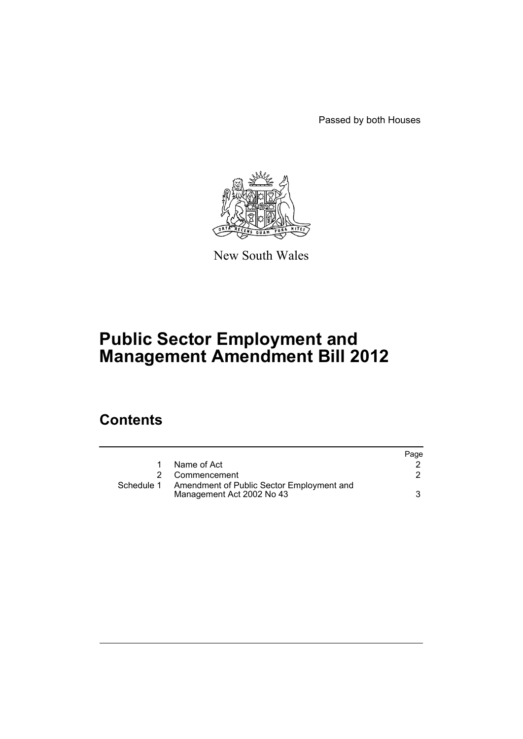Passed by both Houses



New South Wales

# **Public Sector Employment and Management Amendment Bill 2012**

# **Contents**

|            |                                                                        | Page |
|------------|------------------------------------------------------------------------|------|
|            | Name of Act                                                            |      |
|            | 2 Commencement                                                         |      |
| Schedule 1 | Amendment of Public Sector Employment and<br>Management Act 2002 No 43 |      |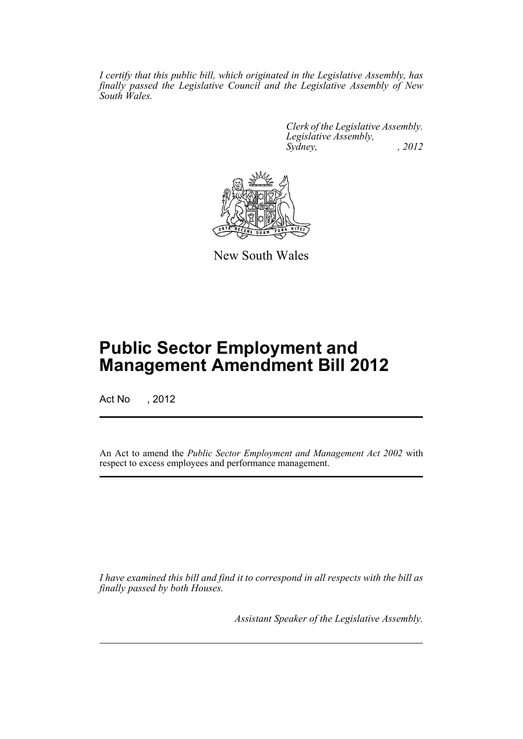*I certify that this public bill, which originated in the Legislative Assembly, has finally passed the Legislative Council and the Legislative Assembly of New South Wales.*

> *Clerk of the Legislative Assembly. Legislative Assembly, Sydney, , 2012*



New South Wales

# **Public Sector Employment and Management Amendment Bill 2012**

Act No , 2012

An Act to amend the *Public Sector Employment and Management Act 2002* with respect to excess employees and performance management.

*I have examined this bill and find it to correspond in all respects with the bill as finally passed by both Houses.*

*Assistant Speaker of the Legislative Assembly.*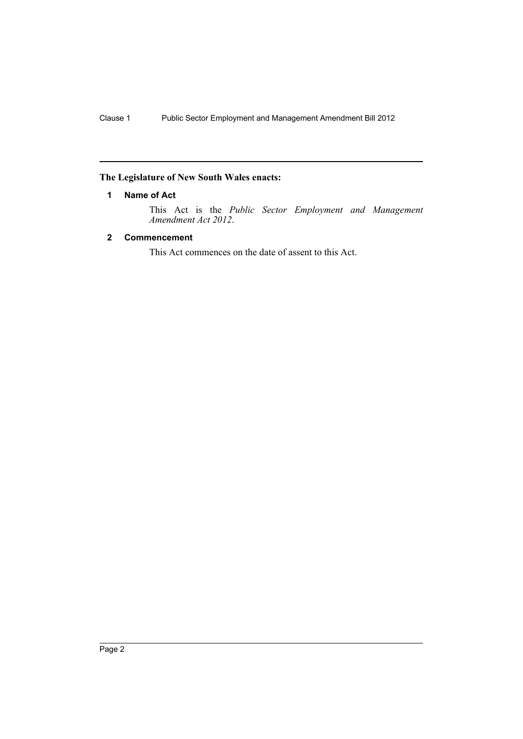# <span id="page-3-0"></span>**The Legislature of New South Wales enacts:**

# **1 Name of Act**

This Act is the *Public Sector Employment and Management Amendment Act 2012*.

# <span id="page-3-1"></span>**2 Commencement**

This Act commences on the date of assent to this Act.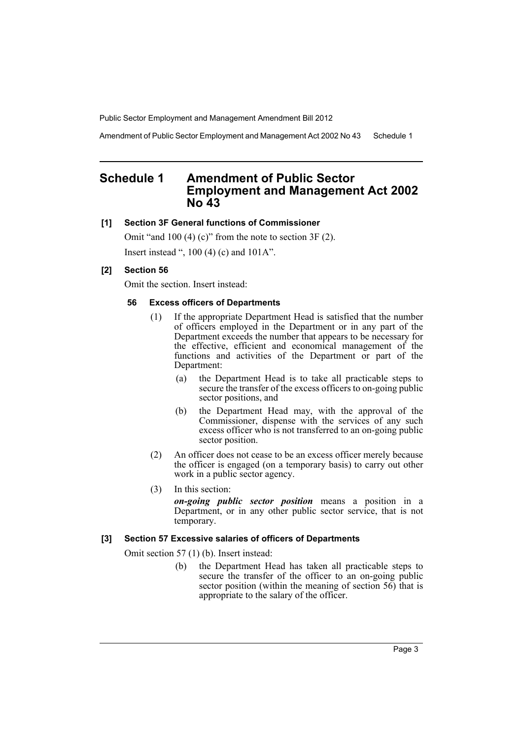Amendment of Public Sector Employment and Management Act 2002 No 43 Schedule 1

# <span id="page-4-0"></span>**Schedule 1 Amendment of Public Sector Employment and Management Act 2002 No 43**

#### **[1] Section 3F General functions of Commissioner**

Omit "and 100 (4) (c)" from the note to section 3F (2). Insert instead ", 100 (4) (c) and 101A".

## **[2] Section 56**

Omit the section. Insert instead:

#### **56 Excess officers of Departments**

- (1) If the appropriate Department Head is satisfied that the number of officers employed in the Department or in any part of the Department exceeds the number that appears to be necessary for the effective, efficient and economical management of the functions and activities of the Department or part of the Department:
	- (a) the Department Head is to take all practicable steps to secure the transfer of the excess officers to on-going public sector positions, and
	- (b) the Department Head may, with the approval of the Commissioner, dispense with the services of any such excess officer who is not transferred to an on-going public sector position.
- (2) An officer does not cease to be an excess officer merely because the officer is engaged (on a temporary basis) to carry out other work in a public sector agency.
- (3) In this section:

*on-going public sector position* means a position in a Department, or in any other public sector service, that is not temporary.

#### **[3] Section 57 Excessive salaries of officers of Departments**

Omit section 57 (1) (b). Insert instead:

(b) the Department Head has taken all practicable steps to secure the transfer of the officer to an on-going public sector position (within the meaning of section 56) that is appropriate to the salary of the officer.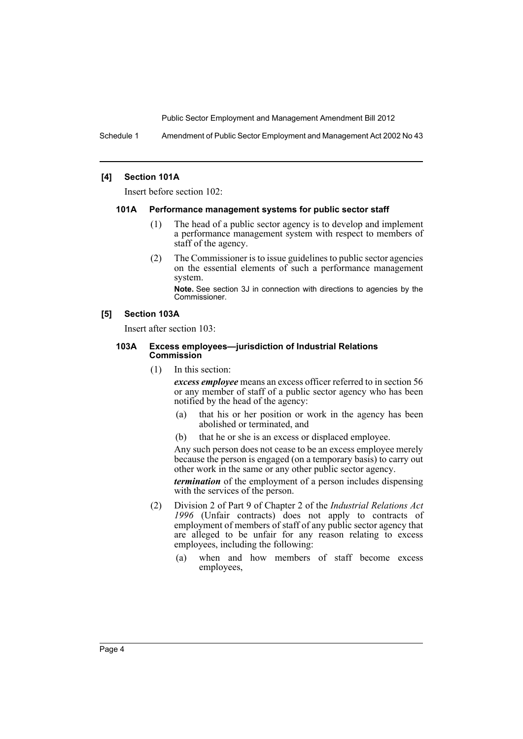Schedule 1 Amendment of Public Sector Employment and Management Act 2002 No 43

#### **[4] Section 101A**

Insert before section 102:

#### **101A Performance management systems for public sector staff**

- (1) The head of a public sector agency is to develop and implement a performance management system with respect to members of staff of the agency.
- (2) The Commissioner is to issue guidelines to public sector agencies on the essential elements of such a performance management system.

**Note.** See section 3J in connection with directions to agencies by the Commissioner.

#### **[5] Section 103A**

Insert after section 103:

#### **103A Excess employees—jurisdiction of Industrial Relations Commission**

(1) In this section:

*excess employee* means an excess officer referred to in section 56 or any member of staff of a public sector agency who has been notified by the head of the agency:

- (a) that his or her position or work in the agency has been abolished or terminated, and
- (b) that he or she is an excess or displaced employee.

Any such person does not cease to be an excess employee merely because the person is engaged (on a temporary basis) to carry out other work in the same or any other public sector agency.

*termination* of the employment of a person includes dispensing with the services of the person.

- (2) Division 2 of Part 9 of Chapter 2 of the *Industrial Relations Act 1996* (Unfair contracts) does not apply to contracts of employment of members of staff of any public sector agency that are alleged to be unfair for any reason relating to excess employees, including the following:
	- (a) when and how members of staff become excess employees,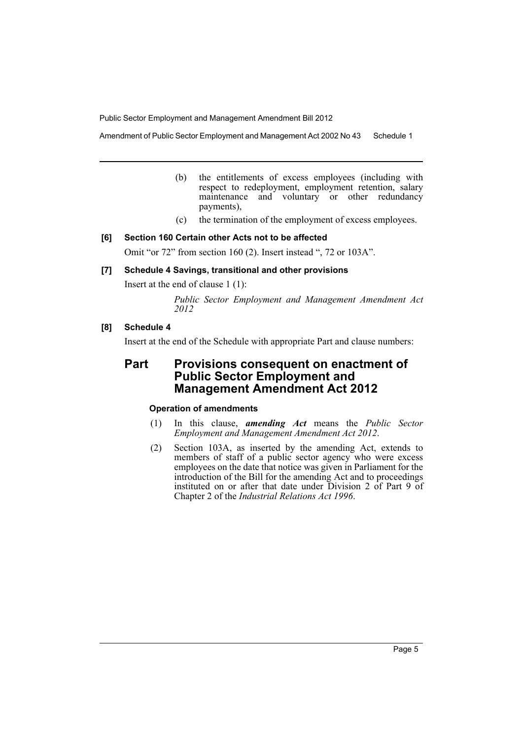Amendment of Public Sector Employment and Management Act 2002 No 43 Schedule 1

- (b) the entitlements of excess employees (including with respect to redeployment, employment retention, salary maintenance and voluntary or other redundancy payments),
- (c) the termination of the employment of excess employees.

## **[6] Section 160 Certain other Acts not to be affected**

Omit "or 72" from section 160 (2). Insert instead ", 72 or 103A".

## **[7] Schedule 4 Savings, transitional and other provisions**

Insert at the end of clause 1 (1):

*Public Sector Employment and Management Amendment Act 2012*

## **[8] Schedule 4**

Insert at the end of the Schedule with appropriate Part and clause numbers:

# **Part Provisions consequent on enactment of Public Sector Employment and Management Amendment Act 2012**

## **Operation of amendments**

- (1) In this clause, *amending Act* means the *Public Sector Employment and Management Amendment Act 2012*.
- (2) Section 103A, as inserted by the amending Act, extends to members of staff of a public sector agency who were excess employees on the date that notice was given in Parliament for the introduction of the Bill for the amending Act and to proceedings instituted on or after that date under Division 2 of Part 9 of Chapter 2 of the *Industrial Relations Act 1996*.